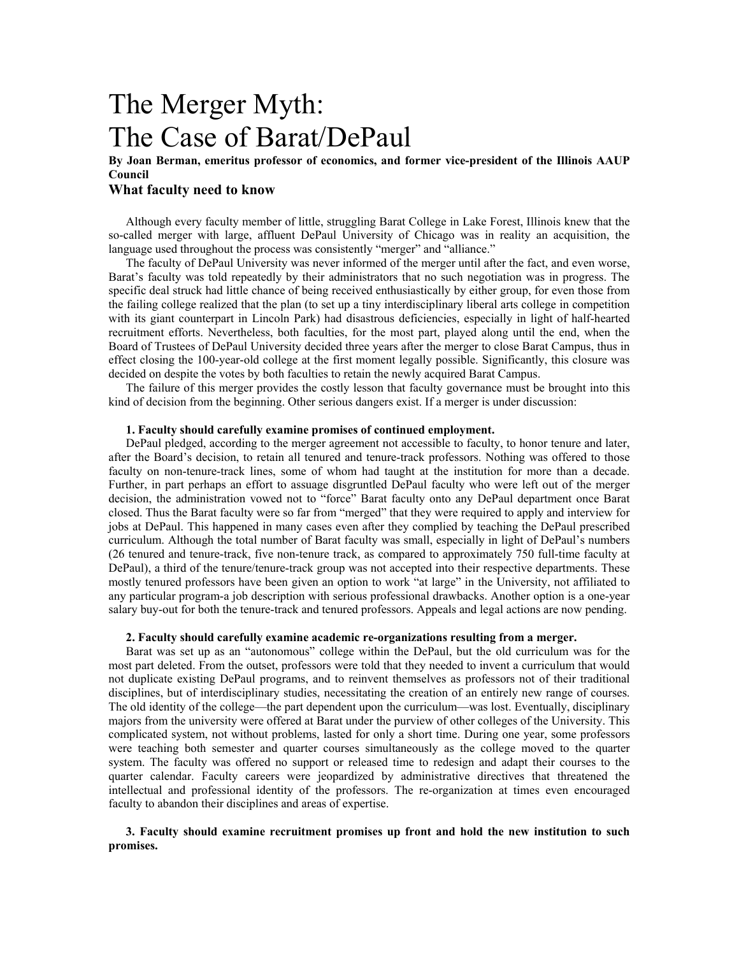# The Merger Myth: The Case of Barat/DePaul

## **By Joan Berman, emeritus professor of economics, and former vice-president of the Illinois AAUP Council**

## **What faculty need to know**

Although every faculty member of little, struggling Barat College in Lake Forest, Illinois knew that the so-called merger with large, affluent DePaul University of Chicago was in reality an acquisition, the language used throughout the process was consistently "merger" and "alliance."

The faculty of DePaul University was never informed of the merger until after the fact, and even worse, Barat's faculty was told repeatedly by their administrators that no such negotiation was in progress. The specific deal struck had little chance of being received enthusiastically by either group, for even those from the failing college realized that the plan (to set up a tiny interdisciplinary liberal arts college in competition with its giant counterpart in Lincoln Park) had disastrous deficiencies, especially in light of half-hearted recruitment efforts. Nevertheless, both faculties, for the most part, played along until the end, when the Board of Trustees of DePaul University decided three years after the merger to close Barat Campus, thus in effect closing the 100-year-old college at the first moment legally possible. Significantly, this closure was decided on despite the votes by both faculties to retain the newly acquired Barat Campus.

The failure of this merger provides the costly lesson that faculty governance must be brought into this kind of decision from the beginning. Other serious dangers exist. If a merger is under discussion:

#### **1. Faculty should carefully examine promises of continued employment.**

DePaul pledged, according to the merger agreement not accessible to faculty, to honor tenure and later, after the Board's decision, to retain all tenured and tenure-track professors. Nothing was offered to those faculty on non-tenure-track lines, some of whom had taught at the institution for more than a decade. Further, in part perhaps an effort to assuage disgruntled DePaul faculty who were left out of the merger decision, the administration vowed not to "force" Barat faculty onto any DePaul department once Barat closed. Thus the Barat faculty were so far from "merged" that they were required to apply and interview for jobs at DePaul. This happened in many cases even after they complied by teaching the DePaul prescribed curriculum. Although the total number of Barat faculty was small, especially in light of DePaul's numbers (26 tenured and tenure-track, five non-tenure track, as compared to approximately 750 full-time faculty at DePaul), a third of the tenure/tenure-track group was not accepted into their respective departments. These mostly tenured professors have been given an option to work "at large" in the University, not affiliated to any particular program-a job description with serious professional drawbacks. Another option is a one-year salary buy-out for both the tenure-track and tenured professors. Appeals and legal actions are now pending.

#### **2. Faculty should carefully examine academic re-organizations resulting from a merger.**

Barat was set up as an "autonomous" college within the DePaul, but the old curriculum was for the most part deleted. From the outset, professors were told that they needed to invent a curriculum that would not duplicate existing DePaul programs, and to reinvent themselves as professors not of their traditional disciplines, but of interdisciplinary studies, necessitating the creation of an entirely new range of courses. The old identity of the college—the part dependent upon the curriculum—was lost. Eventually, disciplinary majors from the university were offered at Barat under the purview of other colleges of the University. This complicated system, not without problems, lasted for only a short time. During one year, some professors were teaching both semester and quarter courses simultaneously as the college moved to the quarter system. The faculty was offered no support or released time to redesign and adapt their courses to the quarter calendar. Faculty careers were jeopardized by administrative directives that threatened the intellectual and professional identity of the professors. The re-organization at times even encouraged faculty to abandon their disciplines and areas of expertise.

#### **3. Faculty should examine recruitment promises up front and hold the new institution to such promises.**